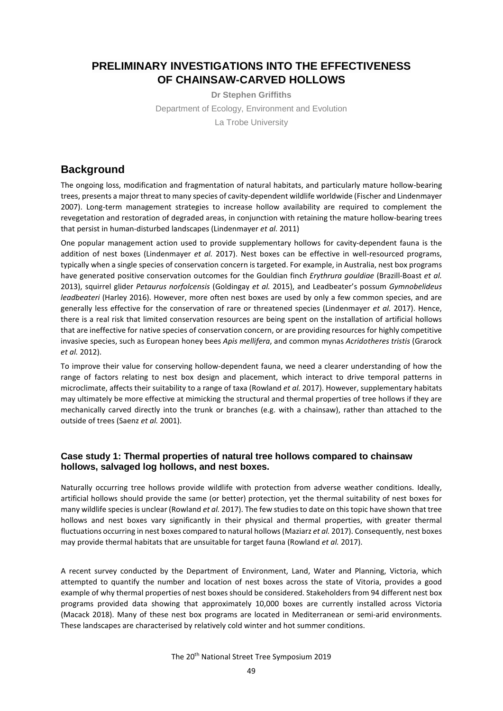## **PRELIMINARY INVESTIGATIONS INTO THE EFFECTIVENESS OF CHAINSAW-CARVED HOLLOWS**

**Dr Stephen Griffiths** Department of Ecology, Environment and Evolution La Trobe University

## **Background**

The ongoing loss, modification and fragmentation of natural habitats, and particularly mature hollow-bearing trees, presents a major threat to many species of cavity-dependent wildlife worldwide (Fischer and Lindenmayer 2007). Long-term management strategies to increase hollow availability are required to complement the revegetation and restoration of degraded areas, in conjunction with retaining the mature hollow-bearing trees that persist in human-disturbed landscapes (Lindenmayer *et al.* 2011)

One popular management action used to provide supplementary hollows for cavity-dependent fauna is the addition of nest boxes (Lindenmayer *et al.* 2017). Nest boxes can be effective in well-resourced programs, typically when a single species of conservation concern is targeted. For example, in Australia, nest box programs have generated positive conservation outcomes for the Gouldian finch *Erythrura gouldiae* (Brazill-Boast *et al.* 2013), squirrel glider *Petaurus norfolcensis* (Goldingay *et al.* 2015), and Leadbeater's possum *Gymnobelideus leadbeateri* (Harley 2016). However, more often nest boxes are used by only a few common species, and are generally less effective for the conservation of rare or threatened species (Lindenmayer *et al.* 2017). Hence, there is a real risk that limited conservation resources are being spent on the installation of artificial hollows that are ineffective for native species of conservation concern, or are providing resources for highly competitive invasive species, such as European honey bees *Apis mellifera*, and common mynas *Acridotheres tristis* (Grarock *et al.* 2012).

To improve their value for conserving hollow-dependent fauna, we need a clearer understanding of how the range of factors relating to nest box design and placement, which interact to drive temporal patterns in microclimate, affects their suitability to a range of taxa (Rowland *et al.* 2017). However, supplementary habitats may ultimately be more effective at mimicking the structural and thermal properties of tree hollows if they are mechanically carved directly into the trunk or branches (e.g. with a chainsaw), rather than attached to the outside of trees (Saenz *et al.* 2001).

#### **Case study 1: Thermal properties of natural tree hollows compared to chainsaw hollows, salvaged log hollows, and nest boxes.**

Naturally occurring tree hollows provide wildlife with protection from adverse weather conditions. Ideally, artificial hollows should provide the same (or better) protection, yet the thermal suitability of nest boxes for many wildlife species is unclear (Rowland *et al.* 2017). The few studies to date on this topic have shown that tree hollows and nest boxes vary significantly in their physical and thermal properties, with greater thermal fluctuations occurring in nest boxes compared to natural hollows (Maziarz *et al.* 2017). Consequently, nest boxes may provide thermal habitats that are unsuitable for target fauna (Rowland *et al.* 2017).

A recent survey conducted by the Department of Environment, Land, Water and Planning, Victoria, which attempted to quantify the number and location of nest boxes across the state of Vitoria, provides a good example of why thermal properties of nest boxes should be considered. Stakeholders from 94 different nest box programs provided data showing that approximately 10,000 boxes are currently installed across Victoria (Macack 2018). Many of these nest box programs are located in Mediterranean or semi-arid environments. These landscapes are characterised by relatively cold winter and hot summer conditions.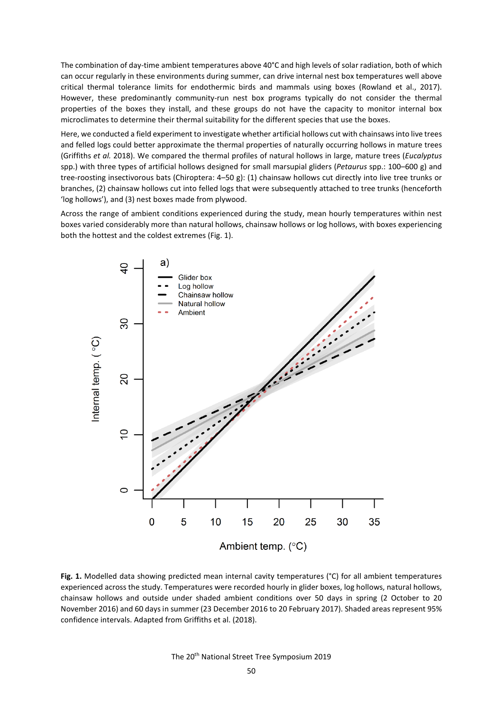The combination of day-time ambient temperatures above 40°C and high levels of solar radiation, both of which can occur regularly in these environments during summer, can drive internal nest box temperatures well above critical thermal tolerance limits for endothermic birds and mammals using boxes (Rowland et al., 2017). However, these predominantly community-run nest box programs typically do not consider the thermal properties of the boxes they install, and these groups do not have the capacity to monitor internal box microclimates to determine their thermal suitability for the different species that use the boxes.

Here, we conducted a field experiment to investigate whether artificial hollows cut with chainsaws into live trees and felled logs could better approximate the thermal properties of naturally occurring hollows in mature trees (Griffiths *et al.* 2018). We compared the thermal profiles of natural hollows in large, mature trees (*Eucalyptus* spp.) with three types of artificial hollows designed for small marsupial gliders (*Petaurus* spp.: 100–600 g) and tree-roosting insectivorous bats (Chiroptera: 4–50 g): (1) chainsaw hollows cut directly into live tree trunks or branches, (2) chainsaw hollows cut into felled logs that were subsequently attached to tree trunks (henceforth 'log hollows'), and (3) nest boxes made from plywood.

Across the range of ambient conditions experienced during the study, mean hourly temperatures within nest boxes varied considerably more than natural hollows, chainsaw hollows or log hollows, with boxes experiencing both the hottest and the coldest extremes (Fig. 1).



**Fig. 1.** Modelled data showing predicted mean internal cavity temperatures (°C) for all ambient temperatures experienced across the study. Temperatures were recorded hourly in glider boxes, log hollows, natural hollows, chainsaw hollows and outside under shaded ambient conditions over 50 days in spring (2 October to 20 November 2016) and 60 days in summer (23 December 2016 to 20 February 2017). Shaded areas represent 95% confidence intervals. Adapted from Griffiths et al. (2018).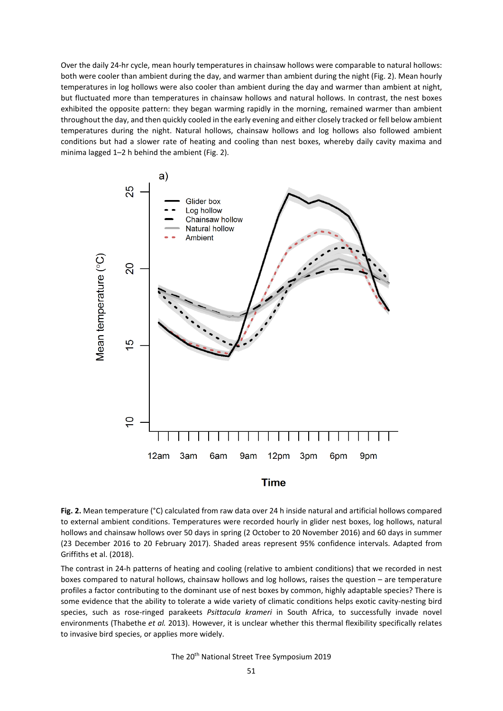Over the daily 24-hr cycle, mean hourly temperatures in chainsaw hollows were comparable to natural hollows: both were cooler than ambient during the day, and warmer than ambient during the night (Fig. 2). Mean hourly temperatures in log hollows were also cooler than ambient during the day and warmer than ambient at night, but fluctuated more than temperatures in chainsaw hollows and natural hollows. In contrast, the nest boxes exhibited the opposite pattern: they began warming rapidly in the morning, remained warmer than ambient throughout the day, and then quickly cooled in the early evening and either closely tracked or fell below ambient temperatures during the night. Natural hollows, chainsaw hollows and log hollows also followed ambient conditions but had a slower rate of heating and cooling than nest boxes, whereby daily cavity maxima and minima lagged 1–2 h behind the ambient (Fig. 2).



#### **Time**

**Fig. 2.** Mean temperature (°C) calculated from raw data over 24 h inside natural and artificial hollows compared to external ambient conditions. Temperatures were recorded hourly in glider nest boxes, log hollows, natural hollows and chainsaw hollows over 50 days in spring (2 October to 20 November 2016) and 60 days in summer (23 December 2016 to 20 February 2017). Shaded areas represent 95% confidence intervals. Adapted from Griffiths et al. (2018).

The contrast in 24-h patterns of heating and cooling (relative to ambient conditions) that we recorded in nest boxes compared to natural hollows, chainsaw hollows and log hollows, raises the question – are temperature profiles a factor contributing to the dominant use of nest boxes by common, highly adaptable species? There is some evidence that the ability to tolerate a wide variety of climatic conditions helps exotic cavity-nesting bird species, such as rose-ringed parakeets *Psittacula krameri* in South Africa, to successfully invade novel environments (Thabethe *et al.* 2013). However, it is unclear whether this thermal flexibility specifically relates to invasive bird species, or applies more widely.

The 20<sup>th</sup> National Street Tree Symposium 2019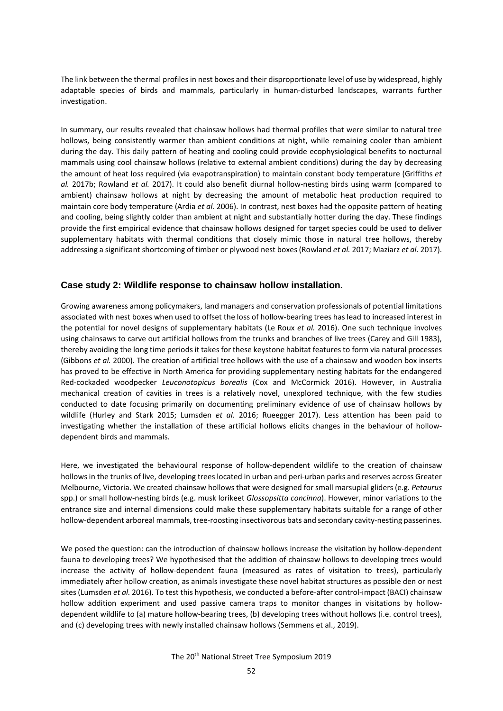The link between the thermal profiles in nest boxes and their disproportionate level of use by widespread, highly adaptable species of birds and mammals, particularly in human-disturbed landscapes, warrants further investigation.

In summary, our results revealed that chainsaw hollows had thermal profiles that were similar to natural tree hollows, being consistently warmer than ambient conditions at night, while remaining cooler than ambient during the day. This daily pattern of heating and cooling could provide ecophysiological benefits to nocturnal mammals using cool chainsaw hollows (relative to external ambient conditions) during the day by decreasing the amount of heat loss required (via evapotranspiration) to maintain constant body temperature (Griffiths *et al.* 2017b; Rowland *et al.* 2017). It could also benefit diurnal hollow-nesting birds using warm (compared to ambient) chainsaw hollows at night by decreasing the amount of metabolic heat production required to maintain core body temperature (Ardia *et al.* 2006). In contrast, nest boxes had the opposite pattern of heating and cooling, being slightly colder than ambient at night and substantially hotter during the day. These findings provide the first empirical evidence that chainsaw hollows designed for target species could be used to deliver supplementary habitats with thermal conditions that closely mimic those in natural tree hollows, thereby addressing a significant shortcoming of timber or plywood nest boxes (Rowland *et al.* 2017; Maziarz *et al.* 2017).

#### **Case study 2: Wildlife response to chainsaw hollow installation.**

Growing awareness among policymakers, land managers and conservation professionals of potential limitations associated with nest boxes when used to offset the loss of hollow-bearing trees has lead to increased interest in the potential for novel designs of supplementary habitats (Le Roux *et al.* 2016). One such technique involves using chainsaws to carve out artificial hollows from the trunks and branches of live trees (Carey and Gill 1983), thereby avoiding the long time periods it takes for these keystone habitat features to form via natural processes (Gibbons *et al.* 2000). The creation of artificial tree hollows with the use of a chainsaw and wooden box inserts has proved to be effective in North America for providing supplementary nesting habitats for the endangered Red-cockaded woodpecker *Leuconotopicus borealis* (Cox and McCormick 2016). However, in Australia mechanical creation of cavities in trees is a relatively novel, unexplored technique, with the few studies conducted to date focusing primarily on documenting preliminary evidence of use of chainsaw hollows by wildlife (Hurley and Stark 2015; Lumsden *et al.* 2016; Rueegger 2017). Less attention has been paid to investigating whether the installation of these artificial hollows elicits changes in the behaviour of hollowdependent birds and mammals.

Here, we investigated the behavioural response of hollow-dependent wildlife to the creation of chainsaw hollows in the trunks of live, developing trees located in urban and peri-urban parks and reserves across Greater Melbourne, Victoria. We created chainsaw hollows that were designed for small marsupial gliders (e.g. *Petaurus*  spp.) or small hollow-nesting birds (e.g. musk lorikeet *Glossopsitta concinna*). However, minor variations to the entrance size and internal dimensions could make these supplementary habitats suitable for a range of other hollow-dependent arboreal mammals, tree-roosting insectivorous bats and secondary cavity-nesting passerines.

We posed the question: can the introduction of chainsaw hollows increase the visitation by hollow-dependent fauna to developing trees? We hypothesised that the addition of chainsaw hollows to developing trees would increase the activity of hollow-dependent fauna (measured as rates of visitation to trees), particularly immediately after hollow creation, as animals investigate these novel habitat structures as possible den or nest sites (Lumsden *et al.* 2016). To test this hypothesis, we conducted a before-after control-impact (BACI) chainsaw hollow addition experiment and used passive camera traps to monitor changes in visitations by hollowdependent wildlife to (a) mature hollow-bearing trees, (b) developing trees without hollows (i.e. control trees), and (c) developing trees with newly installed chainsaw hollows (Semmens et al., 2019).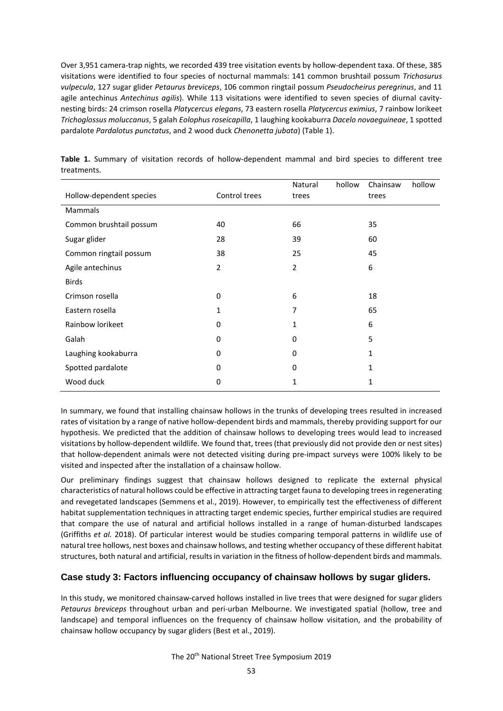Over 3,951 camera-trap nights, we recorded 439 tree visitation events by hollow-dependent taxa. Of these, 385 visitations were identified to four species of nocturnal mammals: 141 common brushtail possum *Trichosurus vulpecula*, 127 sugar glider *Petaurus breviceps*, 106 common ringtail possum *Pseudocheirus peregrinus*, and 11 agile antechinus *Antechinus agilis*). While 113 visitations were identified to seven species of diurnal cavitynesting birds: 24 crimson rosella *Platycercus elegans*, 73 eastern rosella *Platycercus eximius*, 7 rainbow lorikeet *Trichoglossus moluccanus*, 5 galah *Eolophus roseicapilla*, 1 laughing kookaburra *Dacelo novaeguineae*, 1 spotted pardalote *Pardalotus punctatus*, and 2 wood duck *Chenonetta jubata*) (Table 1).

|                          |               | Natural        | hollow | Chainsaw | hollow |
|--------------------------|---------------|----------------|--------|----------|--------|
| Hollow-dependent species | Control trees | trees          |        | trees    |        |
| Mammals                  |               |                |        |          |        |
| Common brushtail possum  | 40            | 66             |        | 35       |        |
| Sugar glider             | 28            | 39             |        | 60       |        |
| Common ringtail possum   | 38            | 25             |        | 45       |        |
| Agile antechinus         | 2             | $\overline{2}$ |        | 6        |        |
| <b>Birds</b>             |               |                |        |          |        |
| Crimson rosella          | 0             | 6              |        | 18       |        |
| Eastern rosella          | 1             | 7              |        | 65       |        |
| Rainbow lorikeet         | 0             | 1              |        | 6        |        |
| Galah                    | $\Omega$      | 0              |        | 5        |        |
| Laughing kookaburra      | 0             | 0              |        | 1        |        |
| Spotted pardalote        | $\Omega$      | 0              |        | 1        |        |
| Wood duck                | 0             | 1              |        | 1        |        |

**Table 1.** Summary of visitation records of hollow-dependent mammal and bird species to different tree treatments.

In summary, we found that installing chainsaw hollows in the trunks of developing trees resulted in increased rates of visitation by a range of native hollow-dependent birds and mammals, thereby providing support for our hypothesis. We predicted that the addition of chainsaw hollows to developing trees would lead to increased visitations by hollow-dependent wildlife. We found that, trees (that previously did not provide den or nest sites) that hollow-dependent animals were not detected visiting during pre-impact surveys were 100% likely to be visited and inspected after the installation of a chainsaw hollow.

Our preliminary findings suggest that chainsaw hollows designed to replicate the external physical characteristics of natural hollows could be effective in attracting target fauna to developing trees in regenerating and revegetated landscapes (Semmens et al., 2019). However, to empirically test the effectiveness of different habitat supplementation techniques in attracting target endemic species, further empirical studies are required that compare the use of natural and artificial hollows installed in a range of human-disturbed landscapes (Griffiths *et al.* 2018). Of particular interest would be studies comparing temporal patterns in wildlife use of natural tree hollows, nest boxes and chainsaw hollows, and testing whether occupancy of these different habitat structures, both natural and artificial, results in variation in the fitness of hollow-dependent birds and mammals.

### **Case study 3: Factors influencing occupancy of chainsaw hollows by sugar gliders.**

In this study, we monitored chainsaw-carved hollows installed in live trees that were designed for sugar gliders *Petaurus breviceps* throughout urban and peri-urban Melbourne. We investigated spatial (hollow, tree and landscape) and temporal influences on the frequency of chainsaw hollow visitation, and the probability of chainsaw hollow occupancy by sugar gliders (Best et al., 2019).

The 20<sup>th</sup> National Street Tree Symposium 2019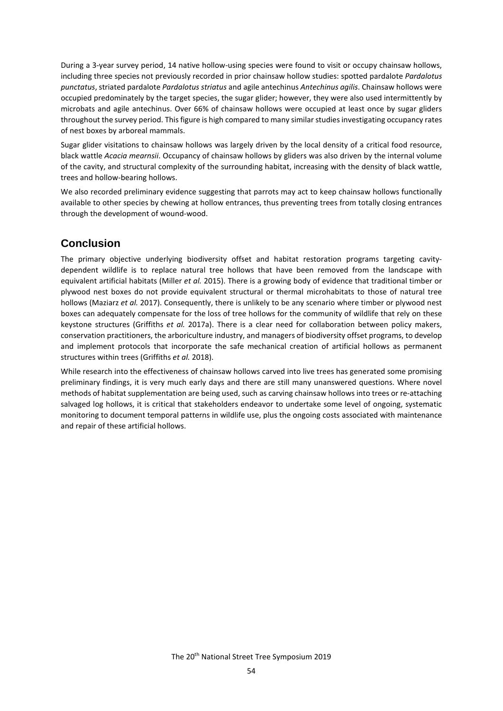During a 3-year survey period, 14 native hollow-using species were found to visit or occupy chainsaw hollows, including three species not previously recorded in prior chainsaw hollow studies: spotted pardalote *Pardalotus punctatus*, striated pardalote *Pardalotus striatus* and agile antechinus *Antechinus agilis*. Chainsaw hollows were occupied predominately by the target species, the sugar glider; however, they were also used intermittently by microbats and agile antechinus. Over 66% of chainsaw hollows were occupied at least once by sugar gliders throughout the survey period. This figure is high compared to many similar studies investigating occupancy rates of nest boxes by arboreal mammals.

Sugar glider visitations to chainsaw hollows was largely driven by the local density of a critical food resource, black wattle *Acacia mearnsii*. Occupancy of chainsaw hollows by gliders was also driven by the internal volume of the cavity, and structural complexity of the surrounding habitat, increasing with the density of black wattle, trees and hollow-bearing hollows.

We also recorded preliminary evidence suggesting that parrots may act to keep chainsaw hollows functionally available to other species by chewing at hollow entrances, thus preventing trees from totally closing entrances through the development of wound-wood.

# **Conclusion**

The primary objective underlying biodiversity offset and habitat restoration programs targeting cavitydependent wildlife is to replace natural tree hollows that have been removed from the landscape with equivalent artificial habitats (Miller *et al.* 2015). There is a growing body of evidence that traditional timber or plywood nest boxes do not provide equivalent structural or thermal microhabitats to those of natural tree hollows (Maziarz *et al.* 2017). Consequently, there is unlikely to be any scenario where timber or plywood nest boxes can adequately compensate for the loss of tree hollows for the community of wildlife that rely on these keystone structures (Griffiths *et al.* 2017a). There is a clear need for collaboration between policy makers, conservation practitioners, the arboriculture industry, and managers of biodiversity offset programs, to develop and implement protocols that incorporate the safe mechanical creation of artificial hollows as permanent structures within trees (Griffiths *et al.* 2018).

While research into the effectiveness of chainsaw hollows carved into live trees has generated some promising preliminary findings, it is very much early days and there are still many unanswered questions. Where novel methods of habitat supplementation are being used, such as carving chainsaw hollows into trees or re-attaching salvaged log hollows, it is critical that stakeholders endeavor to undertake some level of ongoing, systematic monitoring to document temporal patterns in wildlife use, plus the ongoing costs associated with maintenance and repair of these artificial hollows.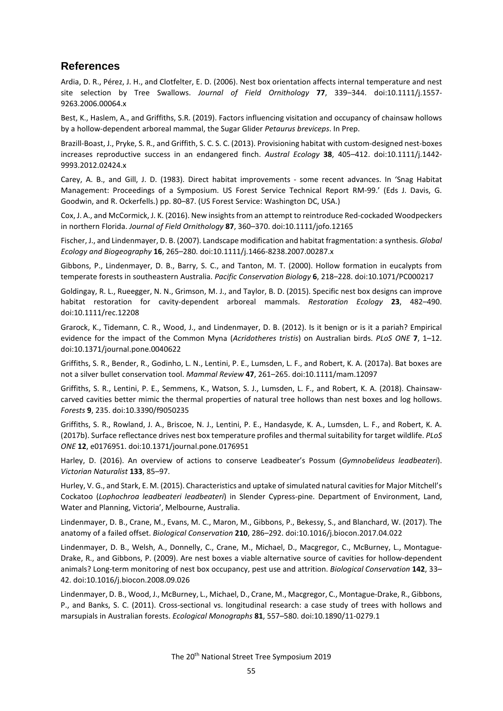### **References**

Ardia, D. R., Pérez, J. H., and Clotfelter, E. D. (2006). Nest box orientation affects internal temperature and nest site selection by Tree Swallows. *Journal of Field Ornithology* **77**, 339–344. doi:10.1111/j.1557- 9263.2006.00064.x

Best, K., Haslem, A., and Griffiths, S.R. (2019). Factors influencing visitation and occupancy of chainsaw hollows by a hollow-dependent arboreal mammal, the Sugar Glider *Petaurus breviceps*. In Prep.

Brazill-Boast, J., Pryke, S. R., and Griffith, S. C. S. C. (2013). Provisioning habitat with custom-designed nest-boxes increases reproductive success in an endangered finch. *Austral Ecology* **38**, 405–412. doi:10.1111/j.1442- 9993.2012.02424.x

Carey, A. B., and Gill, J. D. (1983). Direct habitat improvements - some recent advances. In 'Snag Habitat Management: Proceedings of a Symposium. US Forest Service Technical Report RM-99.' (Eds J. Davis, G. Goodwin, and R. Ockerfells.) pp. 80–87. (US Forest Service: Washington DC, USA.)

Cox, J. A., and McCormick, J. K. (2016). New insights from an attempt to reintroduce Red-cockaded Woodpeckers in northern Florida. *Journal of Field Ornithology* **87**, 360–370. doi:10.1111/jofo.12165

Fischer, J., and Lindenmayer, D. B. (2007). Landscape modification and habitat fragmentation: a synthesis. *Global Ecology and Biogeography* **16**, 265–280. doi:10.1111/j.1466-8238.2007.00287.x

Gibbons, P., Lindenmayer, D. B., Barry, S. C., and Tanton, M. T. (2000). Hollow formation in eucalypts from temperate forests in southeastern Australia. *Pacific Conservation Biology* **6**, 218–228. doi:10.1071/PC000217

Goldingay, R. L., Rueegger, N. N., Grimson, M. J., and Taylor, B. D. (2015). Specific nest box designs can improve habitat restoration for cavity-dependent arboreal mammals. *Restoration Ecology* **23**, 482–490. doi:10.1111/rec.12208

Grarock, K., Tidemann, C. R., Wood, J., and Lindenmayer, D. B. (2012). Is it benign or is it a pariah? Empirical evidence for the impact of the Common Myna (*Acridotheres tristis*) on Australian birds. *PLoS ONE* **7**, 1–12. doi:10.1371/journal.pone.0040622

Griffiths, S. R., Bender, R., Godinho, L. N., Lentini, P. E., Lumsden, L. F., and Robert, K. A. (2017a). Bat boxes are not a silver bullet conservation tool. *Mammal Review* **47**, 261–265. doi:10.1111/mam.12097

Griffiths, S. R., Lentini, P. E., Semmens, K., Watson, S. J., Lumsden, L. F., and Robert, K. A. (2018). Chainsawcarved cavities better mimic the thermal properties of natural tree hollows than nest boxes and log hollows. *Forests* **9**, 235. doi:10.3390/f9050235

Griffiths, S. R., Rowland, J. A., Briscoe, N. J., Lentini, P. E., Handasyde, K. A., Lumsden, L. F., and Robert, K. A. (2017b). Surface reflectance drives nest box temperature profiles and thermal suitability for target wildlife. *PLoS ONE* **12**, e0176951. doi:10.1371/journal.pone.0176951

Harley, D. (2016). An overview of actions to conserve Leadbeater's Possum (*Gymnobelideus leadbeateri*). *Victorian Naturalist* **133**, 85–97.

Hurley, V. G., and Stark, E. M. (2015). Characteristics and uptake of simulated natural cavities for Major Mitchell's Cockatoo (*Lophochroa leadbeateri leadbeateri*) in Slender Cypress-pine. Department of Environment, Land, Water and Planning, Victoria', Melbourne, Australia.

Lindenmayer, D. B., Crane, M., Evans, M. C., Maron, M., Gibbons, P., Bekessy, S., and Blanchard, W. (2017). The anatomy of a failed offset. *Biological Conservation* **210**, 286–292. doi:10.1016/j.biocon.2017.04.022

Lindenmayer, D. B., Welsh, A., Donnelly, C., Crane, M., Michael, D., Macgregor, C., McBurney, L., Montague-Drake, R., and Gibbons, P. (2009). Are nest boxes a viable alternative source of cavities for hollow-dependent animals? Long-term monitoring of nest box occupancy, pest use and attrition. *Biological Conservation* **142**, 33– 42. doi:10.1016/j.biocon.2008.09.026

Lindenmayer, D. B., Wood, J., McBurney, L., Michael, D., Crane, M., Macgregor, C., Montague-Drake, R., Gibbons, P., and Banks, S. C. (2011). Cross-sectional vs. longitudinal research: a case study of trees with hollows and marsupials in Australian forests. *Ecological Monographs* **81**, 557–580. doi:10.1890/11-0279.1